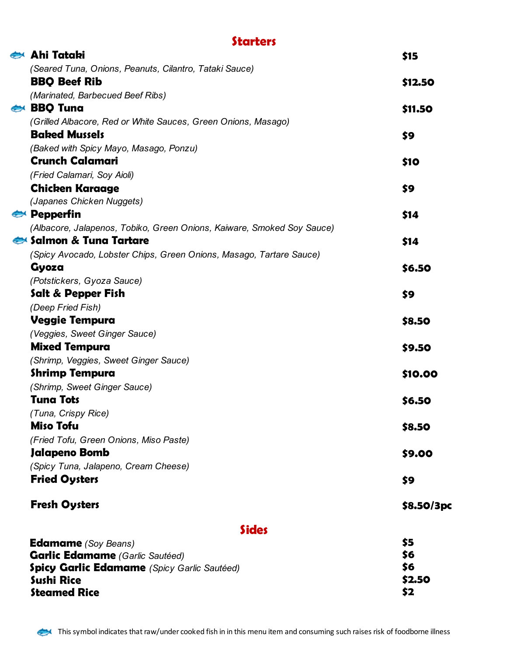### **Starters**

| Ahi Tataki                                                             | \$15       |
|------------------------------------------------------------------------|------------|
| (Seared Tuna, Onions, Peanuts, Cilantro, Tataki Sauce)                 |            |
| <b>BBQ Beef Rib</b>                                                    | \$12.50    |
| (Marinated, Barbecued Beef Ribs)                                       |            |
| BBQ Tuna                                                               | \$11.50    |
| (Grilled Albacore, Red or White Sauces, Green Onions, Masago)          |            |
| <b>Baked Mussels</b>                                                   | \$9        |
| (Baked with Spicy Mayo, Masago, Ponzu)                                 |            |
| <b>Crunch Calamari</b>                                                 | \$10       |
| (Fried Calamari, Soy Aioli)                                            |            |
| <b>Chicken Karaage</b>                                                 | \$9        |
| (Japanes Chicken Nuggets)                                              |            |
| <b>Pepperfin</b>                                                       | \$14       |
| (Albacore, Jalapenos, Tobiko, Green Onions, Kaiware, Smoked Soy Sauce) |            |
| Salmon & Tung Tartare                                                  | \$14       |
| (Spicy Avocado, Lobster Chips, Green Onions, Masago, Tartare Sauce)    |            |
| Gyoza                                                                  | \$6.50     |
| (Potstickers, Gyoza Sauce)                                             |            |
| Salt & Pepper Fish                                                     | \$9        |
| (Deep Fried Fish)                                                      |            |
| <b>Veggie Tempura</b>                                                  | \$8.50     |
| (Veggies, Sweet Ginger Sauce)                                          |            |
| <b>Mixed Tempura</b>                                                   | \$9.50     |
| (Shrimp, Veggies, Sweet Ginger Sauce)                                  |            |
| <b>Shrimp Tempura</b>                                                  | \$10.00    |
| (Shrimp, Sweet Ginger Sauce)<br><b>Tuna Tots</b>                       |            |
|                                                                        | \$6.50     |
| (Tuna, Crispy Rice)<br><b>Miso Tofu</b>                                |            |
| (Fried Tofu, Green Onions, Miso Paste)                                 | \$8.50     |
| Jalapeno Bomb                                                          | \$9.00     |
| (Spicy Tuna, Jalapeno, Cream Cheese)                                   |            |
| <b>Fried Oysters</b>                                                   | \$9        |
|                                                                        |            |
| <b>Fresh Oysters</b>                                                   | \$8.50/3pc |
|                                                                        |            |
| <b>Sides</b>                                                           |            |
| <b>Edamame</b> (Soy Beans)                                             | \$5        |
| <b>Garlic Edamame</b> (Garlic Sautéed)                                 | \$6        |
| <b>Spicy Garlic Edamame</b> (Spicy Garlic Sautéed)                     | \$6        |
| <b>Sushi Rice</b>                                                      | \$2.50     |
| <b>Steamed Rice</b>                                                    | \$2        |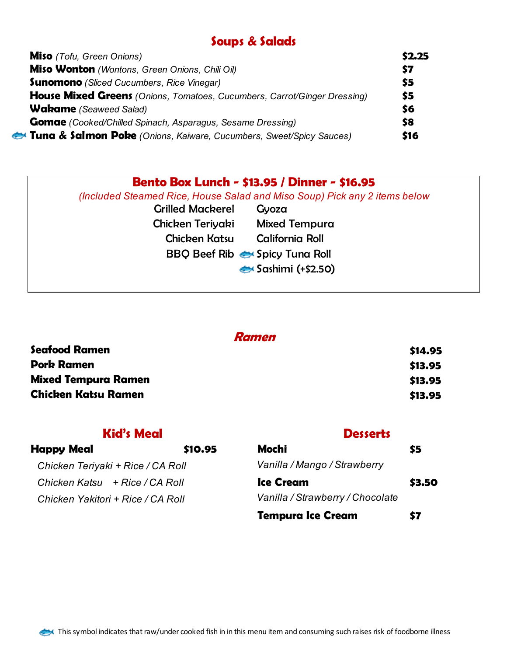### **Soups & Salads**

| <b>Miso</b> (Tofu, Green Onions)                                                | \$2.25 |
|---------------------------------------------------------------------------------|--------|
| Miso Wonton (Wontons, Green Onions, Chili Oil)                                  | \$7    |
| <b>Sunomono</b> (Sliced Cucumbers, Rice Vinegar)                                | \$5    |
| <b>House Mixed Greens</b> (Onions, Tomatoes, Cucumbers, Carrot/Ginger Dressing) | \$5    |
| <b>Wakame</b> (Seaweed Salad)                                                   | \$6    |
| <b>Gomae</b> (Cooked/Chilled Spinach, Asparagus, Sesame Dressing)               | \$8    |
| Tuna & Salmon Poke (Onions, Kaiware, Cucumbers, Sweet/Spicy Sauces)             | \$16   |

# **Bento Box Lunch - \$13.95 / Dinner - \$16.95**

 *(Included Steamed Rice, House Salad and Miso Soup) Pick any 2 items below*

| <b>Grilled Mackerel</b> | Gyoza                                     |
|-------------------------|-------------------------------------------|
| Chicken Teriyaki        | Mixed Tempura                             |
| <b>Chicken Katsu</b>    | California Roll                           |
|                         | <b>BBQ Beef Rib &amp; Spicy Tuna Roll</b> |
|                         | $\leftrightarrow$ Sashimi (+\$2.50)       |
|                         |                                           |

| omen |
|------|
|------|

| <b>Seafood Ramen</b>       | \$14.95 |
|----------------------------|---------|
| <b>Pork Ramen</b>          | \$13.95 |
| <b>Mixed Tempura Ramen</b> | \$13.95 |
| <b>Chicken Katsu Ramen</b> | \$13.95 |

### **Kid's Meal Desserts**

| <b>Happy Meal</b>                 | \$10.95 | Mochi                            | \$5    |
|-----------------------------------|---------|----------------------------------|--------|
| Chicken Teriyaki + Rice / CA Roll |         | Vanilla / Mango / Strawberry     |        |
| Chicken Katsu $+$ Rice / CA Roll  |         | <b>Ice Cream</b>                 | \$3.50 |
| Chicken Yakitori + Rice / CA Roll |         | Vanilla / Strawberry / Chocolate |        |
|                                   |         | <b>Tempura Ice Cream</b>         | \$7    |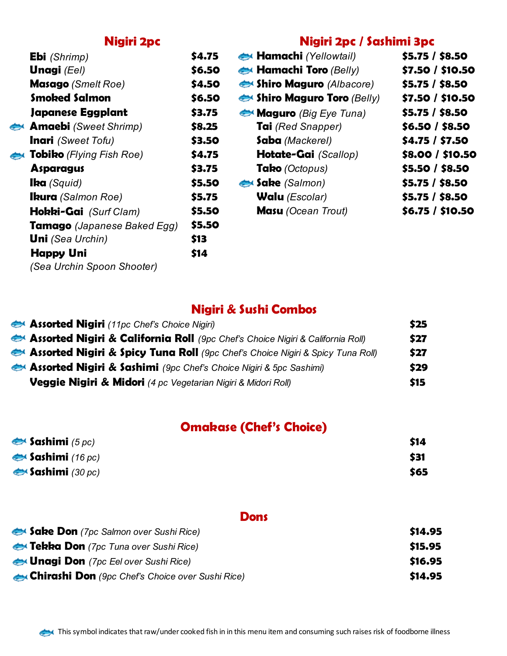### **Nigiri 2pc Nigiri 2pc / Sashimi 3pc**

| <b>Ebi</b> (Shrimp)                | \$4.75 | Hamachi (Yellowtail)                   | \$5.75 / \$8.50  |
|------------------------------------|--------|----------------------------------------|------------------|
| <b>Unagi</b> (Eel)                 | \$6.50 | $\leftrightarrow$ Hamachi Toro (Belly) | \$7.50 / \$10.50 |
| <b>Masago</b> (Smelt Roe)          | \$4.50 | Shiro Maguro (Albacore)                | \$5.75 / \$8.50  |
| <b>Smoked Salmon</b>               | \$6.50 | Shiro Maguro Toro (Belly)              | \$7.50 / \$10.50 |
| Japanese Eggplant                  | \$3.75 | Maguro (Big Eye Tuna)                  | \$5.75 / \$8.50  |
| <b>Amaebi</b> (Sweet Shrimp)       | \$8.25 | <b>Tai</b> (Red Snapper)               | \$6.50 / \$8.50  |
| <b>Inari</b> (Sweet Tofu)          | \$3.50 | Saba (Mackerel)                        | \$4.75 / \$7.50  |
| <b>Tobiko</b> (Flying Fish Roe)    | \$4.75 | <b>Hotate-Gai</b> (Scallop)            | \$8.00 / \$10.50 |
| <b>Asparagus</b>                   | \$3.75 | Tako (Octopus)                         | \$5.50 / \$8.50  |
| <b>lka</b> (Squid)                 | \$5.50 | Sake (Salmon)                          | \$5.75 / \$8.50  |
| <b>Ikura</b> (Salmon Roe)          | \$5.75 | <b>Walu</b> (Escolar)                  | \$5.75 / \$8.50  |
| <b>Hokki-Gai</b> (Surf Clam)       | \$5.50 | <b>Masu</b> (Ocean Trout)              | \$6.75 / \$10.50 |
| <b>Tamago</b> (Japanese Baked Egg) | \$5.50 |                                        |                  |
| <b>Uni</b> (Sea Urchin)            | \$13   |                                        |                  |
| <b>Happy Uni</b>                   | \$14   |                                        |                  |
| (Sea Urchin Spoon Shooter)         |        |                                        |                  |

# **Nigiri & Sushi Combos**

| <b>Assorted Nigiri</b> (11pc Chef's Choice Nigiri)                                        | \$25 |
|-------------------------------------------------------------------------------------------|------|
| <b>Assorted Nigiri &amp; California Roll</b> (9pc Chef's Choice Nigiri & California Roll) | \$27 |
| <b>Assorted Nigiri &amp; Spicy Tuna Roll</b> (9pc Chef's Choice Nigiri & Spicy Tuna Roll) | \$27 |
| <b>Assorted Nigiri &amp; Sashimi</b> (9pc Chef's Choice Nigiri & 5pc Sashimi)             | \$29 |
| Veggie Nigiri & Midori (4 pc Vegetarian Nigiri & Midori Roll)                             | \$15 |

# **Omakase (Chef's Choice)**

| $\blacktriangleright$ Sashimi (5 pc) | \$14 |
|--------------------------------------|------|
| $\leftrightarrow$ Sashimi (16 pc)    | \$31 |
| $\leftrightarrow$ Sashimi (30 pc)    | \$65 |

### **Dons**

| Sake Don (7pc Salmon over Sushi Rice)            | \$14.95 |
|--------------------------------------------------|---------|
| <b>Ex Tekka Don</b> (7pc Tuna over Sushi Rice)   | \$15.95 |
| Unagi Don (7pc Eel over Sushi Rice)              | \$16.95 |
| Chirashi Don (9pc Chef's Choice over Sushi Rice) | \$14.95 |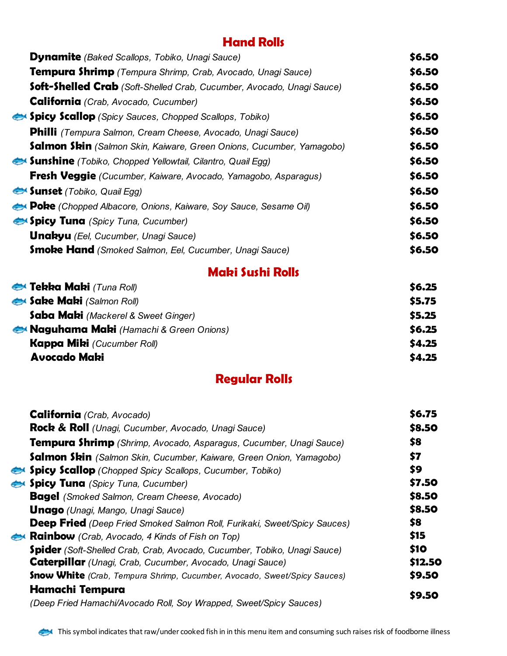### **Hand Rolls**

| <b>Dynamite</b> (Baked Scallops, Tobiko, Unagi Sauce)                        | \$6.50 |
|------------------------------------------------------------------------------|--------|
| <b>Tempura Shrimp</b> (Tempura Shrimp, Crab, Avocado, Unagi Sauce)           | \$6.50 |
| <b>Soft-Shelled Crab</b> (Soft-Shelled Crab, Cucumber, Avocado, Unagi Sauce) | \$6.50 |
| <b>California</b> (Crab, Avocado, Cucumber)                                  | \$6.50 |
| <b>Spicy Scallop</b> (Spicy Sauces, Chopped Scallops, Tobiko)                | \$6.50 |
| <b>Philli</b> (Tempura Salmon, Cream Cheese, Avocado, Unagi Sauce)           | \$6.50 |
| <b>Salmon Skin</b> (Salmon Skin, Kaiware, Green Onions, Cucumber, Yamagobo)  | \$6.50 |
| Sunshine (Tobiko, Chopped Yellowtail, Cilantro, Quail Egg)                   | \$6.50 |
| <b>Fresh Veggie</b> (Cucumber, Kaiware, Avocado, Yamagobo, Asparagus)        | \$6.50 |
| <b>Sunset</b> (Tobiko, Quail Egg)                                            | \$6.50 |
| <b>Poke</b> (Chopped Albacore, Onions, Kaiware, Soy Sauce, Sesame Oil)       | \$6.50 |
| <b>Spicy Tuna</b> (Spicy Tuna, Cucumber)                                     | \$6.50 |
| <b>Unakyu</b> (Eel, Cucumber, Unagi Sauce)                                   | \$6.50 |
| <b>Smoke Hand</b> (Smoked Salmon, Eel, Cucumber, Unagi Sauce)                | \$6.50 |

# **Maki Sushi Rolls**

| Tekka Maki (Tuna Roll)                 | \$6.25 |
|----------------------------------------|--------|
| <b>Sake Maki</b> (Salmon Roll)         | \$5.75 |
| Saba Maki (Mackerel & Sweet Ginger)    | 55.25  |
| Naguhama Maki (Hamachi & Green Onions) | \$6.25 |
| <b>Kappa Miki</b> (Cucumber Roll)      | \$4.25 |
| <b>Avocado Maki</b>                    | \$4.25 |

# **Regular Rolls**

| California (Crab, Avocado)                                                      | \$6.75      |
|---------------------------------------------------------------------------------|-------------|
| <b>Rock &amp; Roll</b> (Unagi, Cucumber, Avocado, Unagi Sauce)                  | \$8.50      |
| <b>Tempura Shrimp</b> (Shrimp, Avocado, Asparagus, Cucumber, Unagi Sauce)       | \$8         |
| <b>Salmon Skin</b> (Salmon Skin, Cucumber, Kaiware, Green Onion, Yamagobo)      | \$7         |
| <b>Spicy Scallop</b> (Chopped Spicy Scallops, Cucumber, Tobiko)                 | \$9         |
| Spicy Tuna (Spicy Tuna, Cucumber)                                               | \$7.50      |
| <b>Bagel</b> (Smoked Salmon, Cream Cheese, Avocado)                             | \$8.50      |
| <b>Unago</b> (Unagi, Mango, Unagi Sauce)                                        | \$8.50      |
| <b>Deep Fried</b> (Deep Fried Smoked Salmon Roll, Furikaki, Sweet/Spicy Sauces) | \$8         |
| <b>Rainbow</b> (Crab, Avocado, 4 Kinds of Fish on Top)                          | \$15        |
| <b>Spider</b> (Soft-Shelled Crab, Crab, Avocado, Cucumber, Tobiko, Unagi Sauce) | <b>\$10</b> |
| <b>Caterpillar</b> (Unagi, Crab, Cucumber, Avocado, Unagi Sauce)                | \$12.50     |
| <b>Snow White</b> (Crab, Tempura Shrimp, Cucumber, Avocado, Sweet/Spicy Sauces) | \$9.50      |
| Hamachi Tempura                                                                 |             |
| (Deep Fried Hamachi/Avocado Roll, Soy Wrapped, Sweet/Spicy Sauces)              | \$9.50      |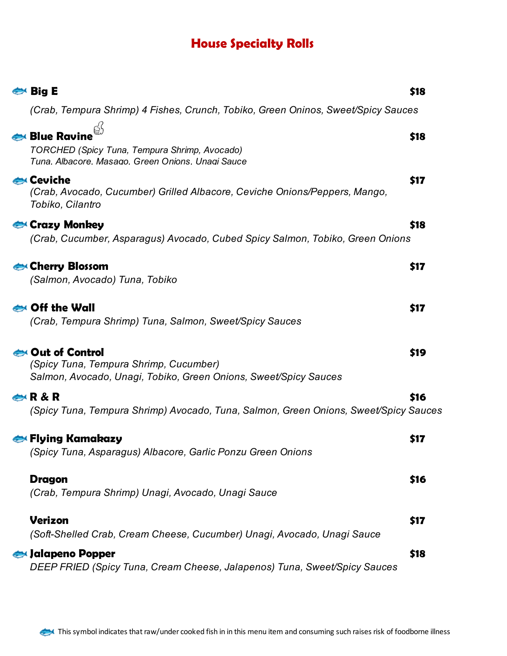# **House Specialty Rolls**

| $\Leftrightarrow$ Big E                                                                                                      | \$18 |
|------------------------------------------------------------------------------------------------------------------------------|------|
| (Crab, Tempura Shrimp) 4 Fishes, Crunch, Tobiko, Green Oninos, Sweet/Spicy Sauces                                            |      |
| <b>Blue Ravine</b><br>TORCHED (Spicy Tuna, Tempura Shrimp, Avocado)<br>Tuna. Albacore. Masago. Green Onions. Unagi Sauce     | \$18 |
| Ceviche<br>(Crab, Avocado, Cucumber) Grilled Albacore, Ceviche Onions/Peppers, Mango,<br>Tobiko, Cilantro                    | \$17 |
| Crazy Monkey<br>(Crab, Cucumber, Asparagus) Avocado, Cubed Spicy Salmon, Tobiko, Green Onions                                | \$18 |
| Cherry Blossom<br>(Salmon, Avocado) Tuna, Tobiko                                                                             | \$17 |
| Off the Wall<br>(Crab, Tempura Shrimp) Tuna, Salmon, Sweet/Spicy Sauces                                                      | \$17 |
| Out of Control<br>(Spicy Tuna, Tempura Shrimp, Cucumber)<br>Salmon, Avocado, Unagi, Tobiko, Green Onions, Sweet/Spicy Sauces | \$19 |
| R & R<br>(Spicy Tuna, Tempura Shrimp) Avocado, Tuna, Salmon, Green Onions, Sweet/Spicy Sauces                                | \$16 |
| <b>⇔ Flying Kamakazy</b><br>'Spicy Tuna, Asparagus) Albacore, Garlic Ponzu Green Onions                                      | \$17 |
| <b>Dragon</b><br>(Crab, Tempura Shrimp) Unagi, Avocado, Unagi Sauce                                                          | \$16 |
| <b>Verizon</b><br>(Soft-Shelled Crab, Cream Cheese, Cucumber) Unagi, Avocado, Unagi Sauce                                    | \$17 |
| Jalapeno Popper<br>DEEP FRIED (Spicy Tuna, Cream Cheese, Jalapenos) Tuna, Sweet/Spicy Sauces                                 | \$18 |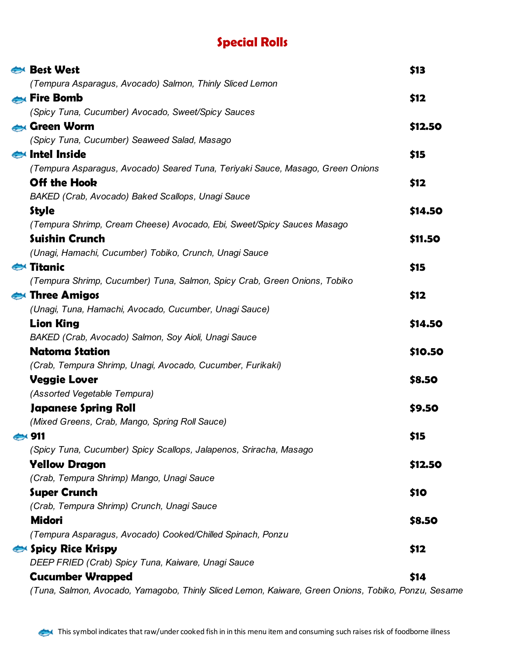# **Special Rolls**

| <b>Best West</b>                                                                                    | \$13    |
|-----------------------------------------------------------------------------------------------------|---------|
| (Tempura Asparagus, Avocado) Salmon, Thinly Sliced Lemon                                            |         |
| <b>Eire Bomb</b>                                                                                    | \$12    |
| (Spicy Tuna, Cucumber) Avocado, Sweet/Spicy Sauces                                                  |         |
| Green Worm                                                                                          | \$12.50 |
| (Spicy Tuna, Cucumber) Seaweed Salad, Masago                                                        |         |
| Intel Inside                                                                                        | \$15    |
| (Tempura Asparagus, Avocado) Seared Tuna, Teriyaki Sauce, Masago, Green Onions                      |         |
| <b>Off the Hook</b>                                                                                 | \$12    |
| BAKED (Crab, Avocado) Baked Scallops, Unagi Sauce                                                   |         |
| <b>Style</b>                                                                                        | \$14.50 |
| (Tempura Shrimp, Cream Cheese) Avocado, Ebi, Sweet/Spicy Sauces Masago                              |         |
| <b>Suishin Crunch</b>                                                                               | \$11.50 |
| (Unagi, Hamachi, Cucumber) Tobiko, Crunch, Unagi Sauce                                              |         |
| $\leftrightarrow$ Titanic                                                                           | \$15    |
| (Tempura Shrimp, Cucumber) Tuna, Salmon, Spicy Crab, Green Onions, Tobiko                           |         |
| Three Amigos                                                                                        | \$12    |
| (Unagi, Tuna, Hamachi, Avocado, Cucumber, Unagi Sauce)                                              |         |
| <b>Lion King</b>                                                                                    | \$14.50 |
| BAKED (Crab, Avocado) Salmon, Soy Aioli, Unagi Sauce                                                |         |
| <b>Natoma Station</b>                                                                               | \$10.50 |
| (Crab, Tempura Shrimp, Unagi, Avocado, Cucumber, Furikaki)                                          |         |
| <b>Veggie Lover</b>                                                                                 | \$8.50  |
| (Assorted Vegetable Tempura)                                                                        |         |
| Japanese Spring Roll                                                                                | \$9.50  |
| (Mixed Greens, Crab, Mango, Spring Roll Sauce)                                                      |         |
| 431                                                                                                 | \$15    |
| (Spicy Tuna, Cucumber) Spicy Scallops, Jalapenos, Sriracha, Masago                                  |         |
| <b>Yellow Dragon</b>                                                                                | \$12.50 |
| (Crab, Tempura Shrimp) Mango, Unagi Sauce                                                           |         |
| <b>Super Crunch</b>                                                                                 | \$10    |
| (Crab, Tempura Shrimp) Crunch, Unagi Sauce                                                          |         |
| <b>Midori</b>                                                                                       | \$8.50  |
| (Tempura Asparagus, Avocado) Cooked/Chilled Spinach, Ponzu                                          |         |
| Spicy Rice Krispy                                                                                   | \$12    |
| DEEP FRIED (Crab) Spicy Tuna, Kaiware, Unagi Sauce                                                  |         |
| <b>Cucumber Wrapped</b>                                                                             | \$14    |
| (Tuna, Salmon, Avocado, Yamagobo, Thinly Sliced Lemon, Kaiware, Green Onions, Tobiko, Ponzu, Sesame |         |